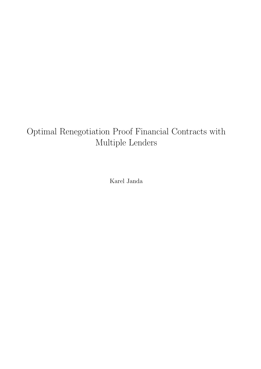#### Optimal Renegotiation Proof Financial Contracts with Multiple Lenders

Karel Janda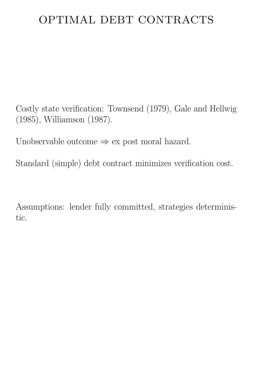## OPTIMAL DEBT CONTRACTS

Costly state verification: Townsend (1979), Gale and Hellwig (1985), Williamson (1987).

Unobservable outcome  $\Rightarrow$  ex post moral hazard.

Standard (simple) debt contract minimizes verification cost.

Assumptions: lender fully committed, strategies deterministic.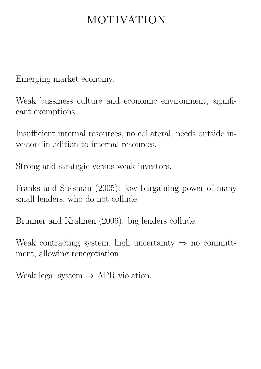### MOTIVATION

Emerging market economy.

Weak bussiness culture and economic environment, significant exemptions.

Insufficient internal resources, no collateral, needs outside investors in adition to internal resources.

Strong and strategic versus weak investors.

Franks and Sussman (2005): low bargaining power of many small lenders, who do not collude.

Brunner and Krahnen (2006): big lenders collude.

Weak contracting system, high uncertainty  $\Rightarrow$  no committment, allowing renegotiation.

Weak legal system  $\Rightarrow$  APR violation.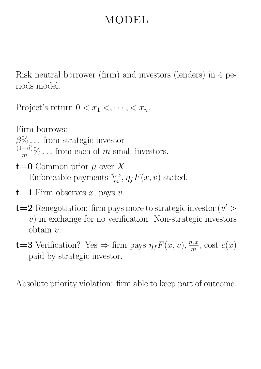### MODEL

Risk neutral borrower (firm) and investors (lenders) in 4 periods model.

Project's return  $0 < x_1 < \cdots < x_n$ .

Firm borrows:

 $\beta\% \dots$  from strategic investor

 $\frac{(1-\beta)}{m}\%$ ... from each of m small investors.

- $t=0$  Common prior  $\mu$  over X. Enforceable payments  $\frac{\eta_x x}{m}, \eta_f F(x, v)$  stated.
- $t=1$  Firm observes x, pays v.
- **t=2** Renegotiation: firm pays more to strategic investor  $(v' > 0)$  $v$ ) in exchange for no verification. Non-strategic investors obtain v.
- **t=3** Verification? Yes  $\Rightarrow$  firm pays  $\eta_f F(x, v), \frac{\eta_x x}{m}$  $\frac{dx}{m}$ , cost  $c(x)$ paid by strategic investor.

Absolute priority violation: firm able to keep part of outcome.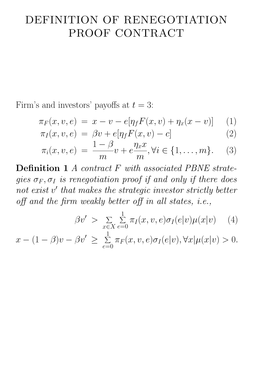### DEFINITION OF RENEGOTIATION PROOF CONTRACT

Firm's and investors' payoffs at  $t = 3$ :

$$
\pi_F(x, v, e) = x - v - e[\eta_f F(x, v) + \eta_x(x - v)] \tag{1}
$$

$$
\pi_I(x, v, e) = \beta v + e[\eta_f F(x, v) - c]
$$
\n
$$
1 - \beta \eta r
$$
\n(2)

$$
\pi_i(x, v, e) = \frac{1 - \beta}{m}v + e\frac{\eta_x x}{m}, \forall i \in \{1, \dots, m\}.
$$
 (3)

Definition 1 A contract F with associated PBNE strategies  $\sigma_F$ ,  $\sigma_I$  is renegotiation proof if and only if there does not exist v' that makes the strategic investor strictly better off and the firm weakly better off in all states, i.e.,

$$
\beta v' > \sum_{x \in X} \sum_{e=0}^{1} \pi_I(x, v, e) \sigma_I(e|v) \mu(x|v) \quad (4)
$$
  

$$
x - (1 - \beta)v - \beta v' \ge \sum_{e=0}^{1} \pi_F(x, v, e) \sigma_I(e|v), \forall x | \mu(x|v) > 0.
$$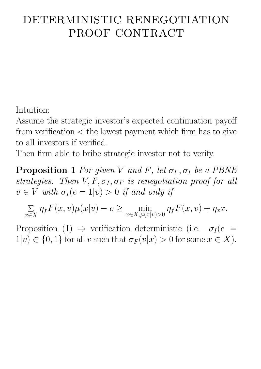# DETERMINISTIC RENEGOTIATION PROOF CONTRACT

Intuition:

Assume the strategic investor's expected continuation payoff from verification  $\lt$  the lowest payment which firm has to give to all investors if verified.

Then firm able to bribe strategic investor not to verify.

**Proposition 1** For given V and F, let  $\sigma_F$ ,  $\sigma_I$  be a PBNE strategies. Then  $V, F, \sigma_I, \sigma_F$  is renegotiation proof for all  $v \in V$  with  $\sigma_I(e = 1|v) > 0$  if and only if

$$
\sum_{x \in X} \eta_f F(x, v) \mu(x|v) - c \ge \min_{x \in X, \mu(x|v) > 0} \eta_f F(x, v) + \eta_x x.
$$

Proposition (1)  $\Rightarrow$  verification deterministic (i.e.  $\sigma_I(e)$  $1|v\rangle \in \{0,1\}$  for all v such that  $\sigma_F(v|x) > 0$  for some  $x \in X$ ).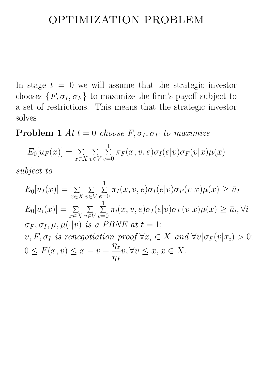#### OPTIMIZATION PROBLEM

In stage  $t = 0$  we will assume that the strategic investor chooses  $\{F, \sigma_I, \sigma_F\}$  to maximize the firm's payoff subject to a set of restrictions. This means that the strategic investor solves

**Problem 1** At  $t = 0$  choose  $F, \sigma_I, \sigma_F$  to maximize

$$
E_0[u_F(x)] = \sum_{x \in X} \sum_{v \in V} \sum_{e=0}^1 \pi_F(x, v, e) \sigma_I(e|v) \sigma_F(v|x) \mu(x)
$$

subject to

$$
E_0[u_I(x)] = \sum_{x \in X} \sum_{v \in V} \sum_{e=0}^1 \pi_I(x, v, e) \sigma_I(e|v) \sigma_F(v|x) \mu(x) \ge \bar{u}_I
$$
  
\n
$$
E_0[u_i(x)] = \sum_{x \in X} \sum_{v \in V} \sum_{e=0}^1 \pi_i(x, v, e) \sigma_I(e|v) \sigma_F(v|x) \mu(x) \ge \bar{u}_i, \forall i
$$
  
\n
$$
\sigma_F, \sigma_I, \mu, \mu(\cdot|v) \text{ is a PBNE at } t = 1;
$$
  
\n
$$
v, F, \sigma_I \text{ is renegotiation proof } \forall x_i \in X \text{ and } \forall v | \sigma_F(v|x_i) > 0;
$$
  
\n
$$
0 \le F(x, v) \le x - v - \frac{\eta_x}{\eta_f} v, \forall v \le x, x \in X.
$$